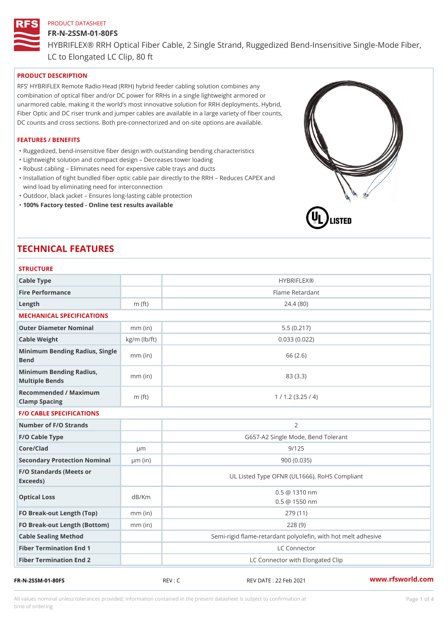#### FR-N-2SSM-01-80FS

HYBRIFLEX® RRH Optical Fiber Cable, 2 Single Strand, Ruggedized Be

LC to Elongated LC Clip, 80 ft

# PRODUCT DESCRIPTION

RFS HYBRIFLEX Remote Radio Head (RRH) hybrid feeder cabling solution combines any combination of optical fiber and/or DC power for RRHs in a single lightweight armored or unarmored cable, making it the world s most innovative solution for RRH deployments. Hybrid, Fiber Optic and DC riser trunk and jumper cables are available in a large variety of fiber counts, DC counts and cross sections. Both pre-connectorized and on-site options are available.

#### FEATURES / BENEFITS

"Ruggedized, bend-insensitive fiber design with outstanding bending characteristics

- "Lightweight solution and compact design Decreases tower loading
- "Robust cabling Eliminates need for expensive cable trays and ducts
- "Installation of tight bundled fiber optic cable pair directly to the RRH Aeduces CAPEX and wind load by eliminating need for interconnection
- "Outdoor, black jacket Ensures long-lasting cable protection
- "100% Factory tested Online test results available

# TECHNICAL FEATURES

# STRUCTURE

| 0 I IN 0 0 1 0 IN L                               |                    |                                                          |
|---------------------------------------------------|--------------------|----------------------------------------------------------|
| Cable Type                                        |                    | <b>HYBRIFLEX®</b>                                        |
| Fire Performance                                  |                    | Flame Retardant                                          |
| Length                                            | $m$ (ft)           | 24.4(80)                                                 |
| MECHANICAL SPECIFICATIONS                         |                    |                                                          |
| Outer Diameter Nominal                            | $mm$ (in)          | 5.5(0.217)                                               |
| Cable Weight                                      | $kg/m$ ( $lb/ft$ ) | 0.033(0.022)                                             |
| Minimum Bending Radius, Single<br>Bend            | $mm$ (in)          | 66 (2.6)                                                 |
| Minimum Bending Radius, mm (in)<br>Multiple Bends |                    | 83 (3.3)                                                 |
| Recommended / Maximum<br>Clamp Spacing            | $m$ (ft)           | 1 / 1.2 (3.25 / 4)                                       |
| <b>F/O CABLE SPECIFICATIONS</b>                   |                    |                                                          |
| Number of F/O Strands                             |                    | 2                                                        |
| F/O Cable Type                                    |                    | G657-A2 Single Mode, Bend Tolerant                       |
| Core/Clad                                         | $\mu$ m            | 9/125                                                    |
| Secondary Protection Nomimal(in)                  |                    | 900 (0.035)                                              |
| F/O Standards (Meets or<br>Exceeds)               |                    | UL Listed Type OFNR (UL1666), RoHS Compliant             |
| Optical Loss                                      | dB/Km              | $0.5 \ @ \ 1310 \ nm$<br>$0.5 \t@ 1550 nm$               |
| FO Break-out Length (Top)mm (in)                  |                    | 279 (11)                                                 |
| FO Break-out Length (Bottmm) (in)                 |                    | 228(9)                                                   |
| Cable Sealing Method                              |                    | Semi-rigid flame-retardant polyolefin, with hot melt adl |
| Fiber Termination End                             |                    | LC Connector                                             |
| Fiber Termination End 2                           |                    | LC Connector with Elongated Clip                         |

FR-N-2SSM-01-80FS REV : C REV DATE : 22 Feb 2021 [www.](https://www.rfsworld.com)rfsworld.com

All values nominal unless tolerances provided; information contained in the present datasheet is subject to Pcapgeligimation time of ordering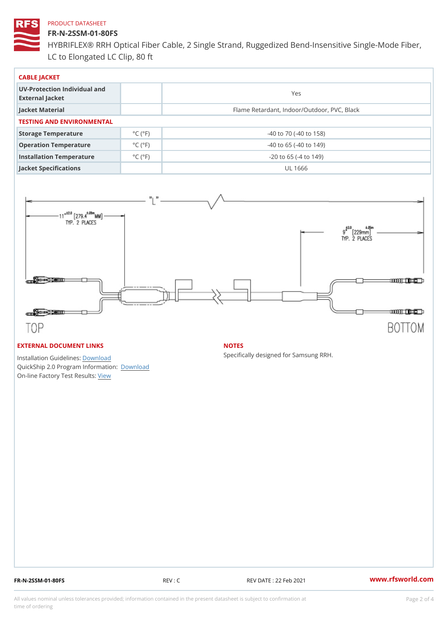# FR-N-2SSM-01-80FS

HYBRIFLEX® RRH Optical Fiber Cable, 2 Single Strand, Ruggedized Be LC to Elongated LC Clip, 80 ft

| CABLE JACKET                                    |                             |                                             |  |  |  |
|-------------------------------------------------|-----------------------------|---------------------------------------------|--|--|--|
| UV-Protection Individual and<br>External Jacket |                             | Yes                                         |  |  |  |
| Jacket Material                                 |                             | Flame Retardant, Indoor/Outdoor, PVC, Black |  |  |  |
| TESTING AND ENVIRONMENTAL                       |                             |                                             |  |  |  |
| Storage Temperature                             | $^{\circ}$ C ( $^{\circ}$ F | $-40$ to $70$ ( $-40$ to $158$ )            |  |  |  |
| Operation Temperature                           | $^{\circ}$ C ( $^{\circ}$ F | $-40$ to 65 ( $-40$ to 149)                 |  |  |  |
| Installation Temperature                        | $^{\circ}$ C ( $^{\circ}$ F | $-20$ to 65 ( $-4$ to 149)                  |  |  |  |
| Jacket Specifications                           |                             | UL 1666                                     |  |  |  |

#### EXTERNAL DOCUMENT LINKS

Installation Guidelwinessad QuickShip 2.0 Program IDfoormlation: On-line Factory Te[s](https://www.rfsworld.com/pictures/userfiles/programs/AAST Latest Version.zip)teResults:

#### NOTES

Specifically designed for Samsung RRH.

FR-N-2SSM-01-80FS REV : C REV DATE : 22 Feb 2021 [www.](https://www.rfsworld.com)rfsworld.com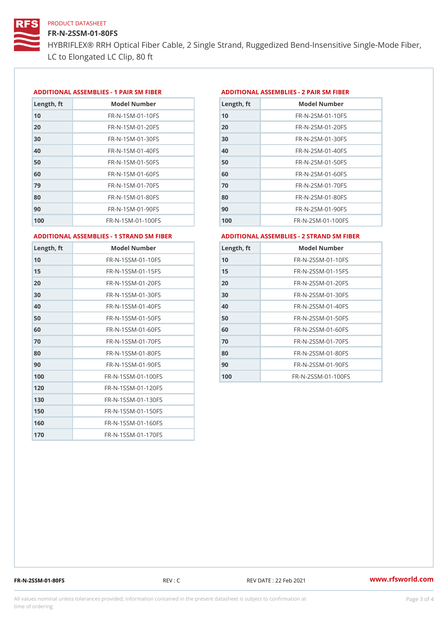# FR-N-2SSM-01-80FS

HYBRIFLEX® RRH Optical Fiber Cable, 2 Single Strand, Ruggedized Be LC to Elongated LC Clip, 80 ft

#### ADDITIONAL ASSEMBLIES - 1 PAIR SM FIBERED DITIONAL ASSEMBLIES - 2 PAIR SM FIBER

| Length, ft | Model Number                   |
|------------|--------------------------------|
| 10         | $FR - N - 1$ S M - 01 - 10 F S |
| 20         | FR-N-1SM-01-20FS               |
| 30         | FR-N-1SM-01-30FS               |
| 40         | $FR - N - 1$ S M - 01 - 40 F S |
| 50         | $FR - N - 1$ S M - 01 - 50 F S |
| 60         | $FR - N - 1$ SM - 01 - 60 F S  |
| 79         | FR-N-1SM-01-70FS               |
| 80         | $FR - N - 1$ S M - 01 - 80 F S |
| 90         | $FR - N - 1$ S M - 01 - 90 F S |
| 100        | FR-N-1SM-01-100FS              |

| Length, ft | Model Number                   |
|------------|--------------------------------|
| 10         | FR-N-2SM-01-10FS               |
| 20         | FR-N-2SM-01-20FS               |
| 30         | FR-N-2SM-01-30FS               |
| 40         | FR-N-2SM-01-40FS               |
| 50         | $FR - N - 2 S M - 01 - 50 F S$ |
| 60         | $FR - N - 2 S M - 01 - 60 F S$ |
| 70         | FR-N-2SM-01-70FS               |
| 80         | $FR - N - 2 S M - 01 - 80 F S$ |
| 90         | FR-N-2SM-01-90FS               |
| 100        | $FR - N - 2 SM - 01 - 100 FS$  |
|            |                                |

ADDITIONAL ASSEMBLIES - 1 STRAND SM FABSDRTIONAL ASSEMBLIES - 2 STRAND SM FIBER

| Length, ft | Model Number                     |
|------------|----------------------------------|
| 10         | FR-N-1SSM-01-10FS                |
| 15         | FR-N-1SSM-01-15FS                |
| 20         | FR-N-1SSM-01-20FS                |
| 30         | FR-N-1SSM-01-30FS                |
| 40         | FR-N-1SSM-01-40FS                |
| 50         | FR-N-1SSM-01-50FS                |
| 60         | FR-N-1SSM-01-60FS                |
| 70         | FR-N-1SSM-01-70FS                |
| 80         | FR-N-1SSM-01-80FS                |
| 90         | $FR - N - 1$ S S M - 01 - 90 F S |
| 100        | FR-N-1SSM-01-100FS               |
| 120        | FR-N-1SSM-01-120FS               |
| 130        | FR-N-1SSM-01-130FS               |
| 150        | FR-N-1SSM-01-150FS               |
| 160        | FR-N-1SSM-01-160FS               |
| 170        | FR-N-1SSM-01-170FS               |

| Length, ft | Model Number                     |
|------------|----------------------------------|
| 10         | FR-N-2SSM-01-10FS                |
| 15         | FR-N-2SSM-01-15FS                |
| 20         | $FR - N - 2$ S S M - 01 - 20 F S |
| 30         | $FR - N - 2$ S S M - 01 - 30 F S |
| 40         | $FR - N - 2$ S S M - 01 - 40 F S |
| 50         | $FR - N - 2$ S S M - 01 - 50 F S |
| 60         | $FR - N - 2$ S S M - 01 - 60 F S |
| 70         | FR-N-2SSM-01-70FS                |
| 80         | $FR - N - 2$ S S M - 01 - 80 F S |
| 90         | $FR - N - 2$ S S M - 01 - 90 F S |
| 100        | FR-N-2SSM-01-100FS               |

FR-N-2SSM-01-80FS REV : C REV DATE : 22 Feb 2021 [www.](https://www.rfsworld.com)rfsworld.com